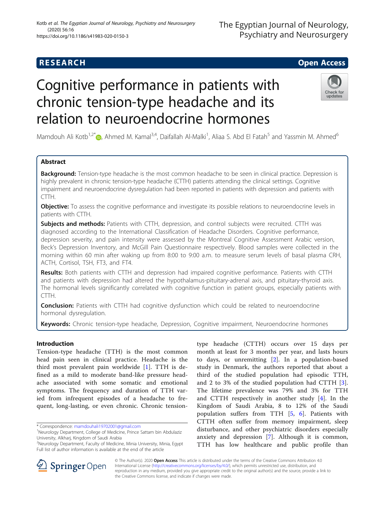# Cognitive performance in patients with chronic tension-type headache and its relation to neuroendocrine hormones

Mamdouh Ali Kotb<sup>1,2[\\*](http://orcid.org/0000-0001-7049-1237)</sup> (@, Ahmed M. Kamal<sup>3,4</sup>, Daifallah Al-Malki<sup>1</sup>, Aliaa S. Abd El Fatah<sup>5</sup> and Yassmin M. Ahmed<sup>6</sup>

# Abstract

Background: Tension-type headache is the most common headache to be seen in clinical practice. Depression is highly prevalent in chronic tension-type headache (CTTH) patients attending the clinical settings. Cognitive impairment and neuroendocrine dysregulation had been reported in patients with depression and patients with CTTH.

**Objective:** To assess the cognitive performance and investigate its possible relations to neuroendocrine levels in patients with CTTH.

Subjects and methods: Patients with CTTH, depression, and control subjects were recruited. CTTH was diagnosed according to the International Classification of Headache Disorders. Cognitive performance, depression severity, and pain intensity were assessed by the Montreal Cognitive Assessment Arabic version, Beck's Depression Inventory, and McGill Pain Questionnaire respectively. Blood samples were collected in the morning within 60 min after waking up from 8:00 to 9:00 a.m. to measure serum levels of basal plasma CRH, ACTH, Cortisol, TSH, FT3, and FT4.

Results: Both patients with CTTH and depression had impaired cognitive performance. Patients with CTTH and patients with depression had altered the hypothalamus-pituitary-adrenal axis, and pituitary-thyroid axis. The hormonal levels significantly correlated with cognitive function in patient groups, especially patients with CTTH.

**Conclusion:** Patients with CTTH had cognitive dysfunction which could be related to neuroendocrine hormonal dysregulation.

the Creative Commons license, and indicate if changes were made.

Keywords: Chronic tension-type headache, Depression, Cognitive impairment, Neuroendocrine hormones

# Introduction

Tension-type headache (TTH) is the most common head pain seen in clinical practice. Headache is the third most prevalent pain worldwide [[1\]](#page-5-0). TTH is defined as a mild to moderate band-like pressure headache associated with some somatic and emotional symptoms. The frequency and duration of TTH varied from infrequent episodes of a headache to frequent, long-lasting, or even chronic. Chronic tension-

\* Correspondence: [mamdouhali19702001@gmail.com](mailto:mamdouhali19702001@gmail.com) <sup>1</sup>

SpringerOpen

anxiety and depression [[7\]](#page-5-0). Although it is common, TTH has low healthcare and public profile than © The Author(s). 2020 Open Access This article is distributed under the terms of the Creative Commons Attribution 4.0 International License ([http://creativecommons.org/licenses/by/4.0/\)](http://creativecommons.org/licenses/by/4.0/), which permits unrestricted use, distribution, and reproduction in any medium, provided you give appropriate credit to the original author(s) and the source, provide a link to

# to days, or unremitting [\[2](#page-5-0)]. In a population-based study in Denmark, the authors reported that about a third of the studied population had episodic TTH, and 2 to 3% of the studied population had CTTH [\[3](#page-5-0)]. The lifetime prevalence was 79% and 3% for TTH and CTTH respectively in another study [\[4](#page-5-0)]. In the Kingdom of Saudi Arabia, 8 to 12% of the Saudi population suffers from TTH [[5,](#page-5-0) [6\]](#page-5-0). Patients with CTTH often suffer from memory impairment, sleep disturbance, and other psychiatric disorders especially

type headache (CTTH) occurs over 15 days per month at least for 3 months per year, and lasts hours

The Egyptian Journal of Neurology, Psychiatry and Neurosurgery

# (2020) 56:16 https://doi.org/10.1186/s41983-020-0150-3



Kotb et al. The Egyptian Journal of Neurology, Psychiatry and Neurosurgery

<sup>&</sup>lt;sup>1</sup>Neurology Department, College of Medicine, Prince Sattam bin Abdulaziz University, Alkharj, Kingdom of Saudi Arabia

<sup>2</sup> Neurology Department, Faculty of Medicine, Minia University, Minia, Egypt Full list of author information is available at the end of the article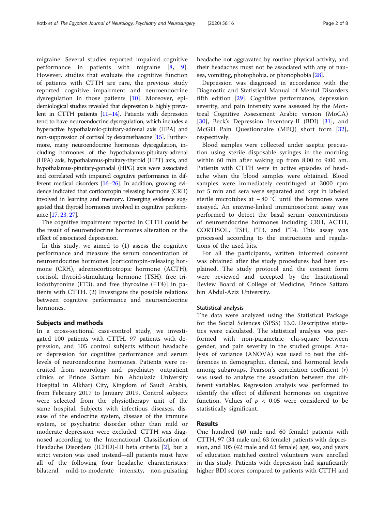migraine. Several studies reported impaired cognitive performance in patients with migraine [\[8](#page-5-0), [9](#page-5-0)]. However, studies that evaluate the cognitive function of patients with CTTH are rare, the previous study reported cognitive impairment and neuroendocrine dysregulation in those patients [[10\]](#page-5-0). Moreover, epidemiological studies revealed that depression is highly prevalent in CTTH patients [\[11](#page-5-0)–[14](#page-5-0)]. Patients with depression tend to have neuroendocrine dysregulation, which includes a hyperactive hypothalamic-pituitary-adrenal axis (HPA) and non-suppression of cortisol by dexamethasone [\[15\]](#page-5-0). Furthermore, many neuroendocrine hormones dysregulation, including hormones of the hypothalamus-pituitary-adrenal (HPA) axis, hypothalamus-pituitary-thyroid (HPT) axis, and hypothalamus-pituitary-gonadal (HPG) axis were associated and correlated with impaired cognitive performance in different medical disorders [[16](#page-5-0)–[26\]](#page-6-0). In addition, growing evidence indicated that corticotropin releasing hormone (CRH) involved in learning and memory. Emerging evidence suggested that thyroid hormones involved in cognitive performance [[17,](#page-5-0) [23,](#page-6-0) [27](#page-6-0)].

The cognitive impairment reported in CTTH could be the result of neuroendocrine hormones alteration or the effect of associated depression.

In this study, we aimed to (1) assess the cognitive performance and measure the serum concentration of neuroendocrine hormones [corticotropin-releasing hormone (CRH), adrenocorticotropic hormone (ACTH), cortisol, thyroid-stimulating hormone (TSH), free triiodothyronine (FT3), and free thyroxine (FT4)] in patients with CTTH. (2) Investigate the possible relations between cognitive performance and neuroendocrine hormones.

## Subjects and methods

In a cross-sectional case-control study, we investigated 100 patients with CTTH, 97 patients with depression, and 105 control subjects without headache or depression for cognitive performance and serum levels of neuroendocrine hormones. Patients were recruited from neurology and psychiatry outpatient clinics of Prince Sattam bin Abdulaziz University Hospital in Alkharj City, Kingdom of Saudi Arabia, from February 2017 to January 2019. Control subjects were selected from the physiotherapy unit of the same hospital. Subjects with infectious diseases, disease of the endocrine system, disease of the immune system, or psychiatric disorder other than mild or moderate depression were excluded. CTTH was diagnosed according to the International Classification of Headache Disorders (ICHD)-III beta criteria [[2\]](#page-5-0), but a strict version was used instead—all patients must have all of the following four headache characteristics: bilateral, mild-to-moderate intensity, non-pulsating headache not aggravated by routine physical activity, and their headaches must not be associated with any of nausea, vomiting, photophobia, or phonophobia [\[28\]](#page-6-0).

Depression was diagnosed in accordance with the Diagnostic and Statistical Manual of Mental Disorders fifth edition [\[29](#page-6-0)]. Cognitive performance, depression severity, and pain intensity were assessed by the Montreal Cognitive Assessment Arabic version (MoCA) [[30\]](#page-6-0), Beck's Depression Inventory-II (BDI) [[31\]](#page-6-0), and McGill Pain Questionnaire (MPQ) short form [\[32](#page-6-0)], respectively.

Blood samples were collected under aseptic precaution using sterile disposable syringes in the morning within 60 min after waking up from 8:00 to 9:00 am. Patients with CTTH were in active episodes of headache when the blood samples were obtained. Blood samples were immediately centrifuged at 3000 rpm for 5 min and sera were separated and kept in labeled sterile microtubes at − 80 °C until the hormones were assayed. An enzyme-linked immunosorbent assay was performed to detect the basal serum concentrations of neuroendocrine hormones including CRH, ACTH, CORTISOL, TSH, FT3, and FT4. This assay was processed according to the instructions and regulations of the used kits.

For all the participants, written informed consent was obtained after the study procedures had been explained. The study protocol and the consent form were reviewed and accepted by the Institutional Review Board of College of Medicine, Prince Sattam bin Abdul-Aziz University.

## Statistical analysis

The data were analyzed using the Statistical Package for the Social Sciences (SPSS) 13.0. Descriptive statistics were calculated. The statistical analysis was performed with non-parametric chi-square between gender, and pain severity in the studied groups. Analysis of variance (ANOVA) was used to test the differences in demographic, clinical, and hormonal levels among subgroups. Pearson's correlation coefficient (r) was used to analyze the association between the different variables. Regression analysis was performed to identify the effect of different hormones on cognitive function. Values of  $p < 0.05$  were considered to be statistically significant.

# Results

One hundred (40 male and 60 female) patients with CTTH, 97 (34 male and 63 female) patients with depression, and 105 (42 male and 63 female) age, sex, and years of education matched control volunteers were enrolled in this study. Patients with depression had significantly higher BDI scores compared to patients with CTTH and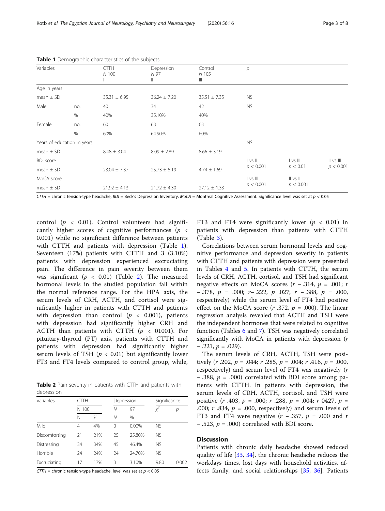| Variables        |                             | <b>CTTH</b><br>N 100 | Depression<br>N 97<br>Ш | Control<br>N 105<br>Ш | p              |               |               |
|------------------|-----------------------------|----------------------|-------------------------|-----------------------|----------------|---------------|---------------|
| Age in years     |                             |                      |                         |                       |                |               |               |
| mean $\pm$ SD    |                             | $35.31 \pm 6.95$     | $36.24 \pm 7.20$        | $35.51 \pm 7.35$      | NS.            |               |               |
| Male             | no.                         | 40                   | 34                      | 42                    | <b>NS</b>      |               |               |
|                  | $\%$                        | 40%                  | 35.10%                  | 40%                   |                |               |               |
| Female           | no.                         | 60                   | 63                      | 63                    |                |               |               |
|                  | %                           | 60%                  | 64.90%                  | 60%                   |                |               |               |
|                  | Years of education in years |                      |                         |                       | <b>NS</b>      |               |               |
| mean $\pm$ SD    |                             | $8.48 \pm 3.04$      | $8.09 \pm 2.89$         | $8.66 \pm 3.19$       |                |               |               |
| <b>BDI</b> score |                             |                      |                         |                       | vs             | vs            | $II$ vs $III$ |
| mean $\pm$ SD    |                             | $23.04 \pm 7.37$     | $25.73 \pm 5.19$        | $4.74 \pm 1.69$       | p < 0.001      | p < 0.01      | p < 0.001     |
| MoCA score       |                             |                      |                         |                       | v <sub>S</sub> | $II$ vs $III$ |               |
| mean $\pm$ SD    |                             | $21.92 \pm 4.13$     | $21.72 \pm 4.30$        | $27.12 \pm 1.33$      | p < 0.001      | p < 0.001     |               |

Table 1 Demographic characteristics of the subjects

 $CTTH$  = chronic tension-type headache,  $BDI$  = Beck's Depression Inventory, MoCA = Montreal Cognitive Assessment. Significance level was set at  $p < 0.05$ 

control ( $p \lt 0.01$ ). Control volunteers had significantly higher scores of cognitive performances ( $p \leq$ 0.001) while no significant difference between patients with CTTH and patients with depression (Table 1). Seventeen (17%) patients with CTTH and 3 (3.10%) patients with depression experienced excruciating pain. The difference in pain severity between them was significant ( $p < 0.01$ ) (Table 2). The measured hormonal levels in the studied population fall within the normal reference range. For the HPA axis, the serum levels of CRH, ACTH, and cortisol were significantly higher in patients with CTTH and patients with depression than control ( $p < 0.001$ ), patients with depression had significantly higher CRH and ACTH than patients with CTTH  $(p < 01001)$ . For pituitary-thyroid (PT) axis, patients with CTTH and patients with depression had significantly higher serum levels of TSH ( $p < 0.01$ ) but significantly lower FT3 and FT4 levels compared to control group, while,

Table 2 Pain severity in patients with CTTH and patients with depression

| Variables     |    | CTTH<br>N 100 |    | Depression |           | Significance |  |
|---------------|----|---------------|----|------------|-----------|--------------|--|
|               |    |               |    | 97         |           | р            |  |
|               | Ν  | $\%$          | Ν  | $\%$       |           |              |  |
| Mild          | 4  | 4%            | 0  | 0.00%      | <b>NS</b> |              |  |
| Discomforting | 21 | 21%           | 25 | 25.80%     | <b>NS</b> |              |  |
| Distressing   | 34 | 34%           | 45 | 46.4%      | <b>NS</b> |              |  |
| Horrible      | 24 | 24%           | 24 | 24.70%     | <b>NS</b> |              |  |
| Excruciating  | 17 | 17%           | 3  | 3.10%      | 9.80      | 0.002        |  |

CTTH = chronic tension-type headache, level was set at  $p < 0.05$ 

FT3 and FT4 were significantly lower ( $p < 0.01$ ) in patients with depression than patients with CTTH (Table [3](#page-3-0)).

Correlations between serum hormonal levels and cognitive performance and depression severity in patients with CTTH and patients with depression were presented in Tables [4](#page-3-0) and [5.](#page-4-0) In patients with CTTH, the serum levels of CRH, ACTH, cortisol, and TSH had significant negative effects on MoCA scores  $(r - .314, p = .001; r)$ − .378,  $p = .000$ ;  $r - .222$ ,  $p .027$ ;  $r - .388$ ,  $p = .000$ , respectively) while the serum level of FT4 had positive effect on the MoCA score ( $r$  .372,  $p = .000$ ). The linear regression analysis revealed that ACTH and TSH were the independent hormones that were related to cognitive function (Tables [6](#page-4-0) and [7\)](#page-5-0). TSH was negatively correlated significantly with MoCA in patients with depression (r  $-$  .221,  $p = .029$ ).

The serum levels of CRH, ACTH, TSH were positively  $(r \cdot .202, p = .044; r \cdot .285, p = .004; r \cdot .416, p = .000,$ respectively) and serum level of FT4 was negatively (r  $-$  .388,  $p = .000$ ) correlated with BDI score among patients with CTTH. In patients with depression, the serum levels of CRH, ACTH, cortisol, and TSH were positive  $(r \cdot .403, p = .000; r \cdot .288, p = .004; r \cdot 0427, p =$ .000;  $r$  .834,  $p = .000$ , respectively) and serum levels of FT3 and FT4 were negative  $(r - .357, p = .000$  and r  $-$  .523,  $p = .000$ ) correlated with BDI score.

# **Discussion**

Patients with chronic daily headache showed reduced quality of life [[33,](#page-6-0) [34\]](#page-6-0), the chronic headache reduces the workdays times, lost days with household activities, affects family, and social relationships [[35,](#page-6-0) [36\]](#page-6-0). Patients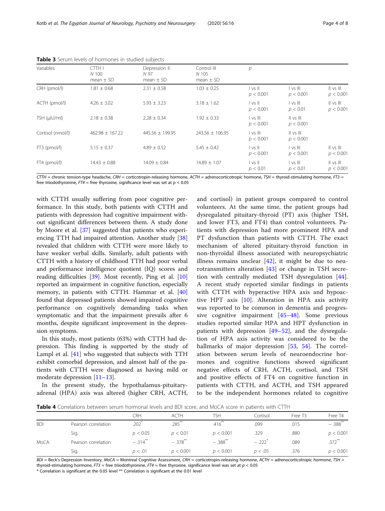<span id="page-3-0"></span>Kotb et al. The Egyptian Journal of Neurology, Psychiatry and Neurosurgery (2020) 56:16 Page 4 of 8

| Variables         | <b>CTTH I</b><br>N 100<br>mean $\pm$ SD | Depression II<br>N 97<br>mean $\pm$ SD | Control III<br>N 105<br>mean $\pm$ SD | р                                         |                                         |                                         |
|-------------------|-----------------------------------------|----------------------------------------|---------------------------------------|-------------------------------------------|-----------------------------------------|-----------------------------------------|
| CRH (pmol/l)      | $1.81 \pm 0.68$                         | $2.31 \pm 0.58$                        | $1.03 \pm 0.25$                       | vs  <br>p < 0.001                         | vs   <br>p < 0.001                      | $\parallel$ vs $\parallel$<br>p < 0.001 |
| ACTH (pmol/l)     | $4.26 \pm 3.02$                         | $5.93 \pm 3.23$                        | $3.18 \pm 1.62$                       | vs  <br>p < 0.001                         | vs   <br>p < 0.01                       | $   \vee$ s $   $<br>p < 0.001          |
| TSH (µIU/ml)      | $2.18 \pm 0.38$                         | $2.28 \pm 0.34$                        | $1.92 \pm 0.33$                       | vs   <br>p < 0.001                        | $\parallel$ vs $\parallel$<br>p < 0.001 |                                         |
| Cortisol (nmol/l) | $462.98 \pm 167.22$                     | 445.56 ± 199.95                        | $243.56 \pm 106.95$                   | $\vert$ vs $\vert\vert\vert$<br>p < 0.001 | $\parallel$ vs $\parallel$<br>p < 0.001 |                                         |
| FT3 (pmol/l)      | $5.15 \pm 0.37$                         | $4.89 \pm 0.52$                        | $5.45 \pm 0.42$                       | $\vert$ vs $\vert\vert$<br>p < 0.001      | vs   <br>p < 0.001                      | $   \vee$ s $  $<br>p < 0.001           |
| FT4 (pmol/l)      | $14.43 \pm 0.88$                        | $14.09 \pm 0.84$                       | $14.89 \pm 1.07$                      | vs  <br>p < 0.01                          | $\vert$ vs $\vert$ $\vert$<br>p < 0.01  | $   \vee$ s $   $<br>p < 0.001          |

Table 3 Serum levels of hormones in studied subjects

 $CTTH =$  chronic tension-type headache, CRH = corticotropin-releasing hormone, ACTH = adrenocorticotropic hormone, TSH = thyroid-stimulating hormone, FT3 = free triiodothyronine,  $FT4$  = free thyroxine, significance level was set at  $p < 0.05$ 

with CTTH usually suffering from poor cognitive performance. In this study, both patients with CTTH and patients with depression had cognitive impairment without significant differences between them. A study done by Moore et al. [\[37\]](#page-6-0) suggested that patients who experi-encing TTH had impaired attention. Another study [[38](#page-6-0)] revealed that children with CTTH were more likely to have weaker verbal skills. Similarly, adult patients with CTTH with a history of childhood TTH had poor verbal and performance intelligence quotient (IQ) scores and reading difficulties [[39](#page-6-0)]. Most recently, Ping et al. [[10](#page-5-0)] reported an impairment in cognitive function, especially memory, in patients with CTTH. Hammar et al. [[40](#page-6-0)] found that depressed patients showed impaired cognitive performance on cognitively demanding tasks when symptomatic and that the impairment prevails after 6 months, despite significant improvement in the depression symptoms.

In this study, most patients (63%) with CTTH had depression. This finding is supported by the study of Lampl et al. [[41\]](#page-6-0) who suggested that subjects with TTH exhibit comorbid depression, and almost half of the patients with CTTH were diagnosed as having mild or moderate depression [[11](#page-5-0)–[13](#page-5-0)].

In the present study, the hypothalamus-pituitaryadrenal (HPA) axis was altered (higher CRH, ACTH,

and cortisol) in patient groups compared to control volunteers. At the same time, the patient groups had dysregulated pituitary-thyroid (PT) axis (higher TSH, and lower FT3, and FT4) than control volunteers. Patients with depression had more prominent HPA and PT dysfunction than patients with CTTH. The exact mechanism of altered pituitary-thyroid function in non-thyroidal illness associated with neuropsychiatric illness remains unclear  $[42]$  $[42]$ , it might be due to neurotransmitters alteration  $[43]$  $[43]$  or change in TSH secretion with centrally mediated TSH dysregulation [\[44](#page-6-0)]. A recent study reported similar findings in patients with CTTH with hyperactive HPA axis and hypoactive HPT axis [[10\]](#page-5-0). Alteration in HPA axis activity was reported to be common in dementia and progressive cognitive impairment [\[45](#page-6-0)–[48](#page-6-0)]. Some previous studies reported similar HPA and HPT dysfunction in patients with depression [[49](#page-6-0)–[52\]](#page-6-0), and the dysregulation of HPA axis activity was considered to be the hallmarks of major depression [[53,](#page-6-0) [54\]](#page-6-0). The correlation between serum levels of neuroendocrine hormones and cognitive functions showed significant negative effects of CRH, ACTH, cortisol, and TSH and positive effects of FT4 on cognitive function in patients with CTTH, and ACTH, and TSH appeared to be the independent hormones related to cognitive

**Table 4** Correlations between serum hormonal levels and BDI score, and MoCA score in patients with CTTH

|            |                     | CRH        | <b>ACTH</b>           | TSH                   | Cortisol | Free T3 | Free T4                |
|------------|---------------------|------------|-----------------------|-----------------------|----------|---------|------------------------|
| <b>BDI</b> | Pearson correlation | .202       | $.285$ <sup>**</sup>  | .416                  | .099     | .015    | $-0.388$ <sup>**</sup> |
|            | Sig.                | p < 0.05   | p < 0.01              | p < 0.001             | .329     | .880    | p < 0.001              |
| MoCA       | Pearson correlation | $-.314***$ | $-.378$ <sup>**</sup> | $-.388$ <sup>**</sup> | $-.222$  | .089    | $.372$ <sup>**</sup>   |
|            | Sig.                | p < .01    | p < 0.001             | p < 0.001             | p < .05  | .376    | p < 0.001              |

BDI = Beck's Depression Inventory, MoCA = Montreal Cognitive Assessment, CRH = corticotropin-releasing hormone, ACTH = adrenocorticotropic hormone, TSH = thyroid-stimulating hormone, FT3 = free triiodothyronine, FT4 = free thyroxine, significance level was set at  $p < 0.05$ 

\* Correlation is significant at the 0.05 level \*\* Correlation is significant at the 0.01 level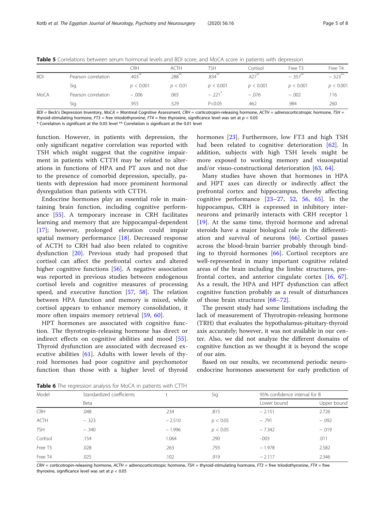|            |                     | CRH       | <b>ACTH</b>          | TSH                  | Cortisol             | Free T <sub>3</sub> | Free T4               |
|------------|---------------------|-----------|----------------------|----------------------|----------------------|---------------------|-----------------------|
| <b>BDI</b> | Pearson correlation | $.403***$ | $.288$ <sup>**</sup> | $.834***$            | $.427$ <sup>**</sup> | $-.357***$          | $-.523$ <sup>**</sup> |
|            | Sig.                | p < 0.001 | p < 0.01             | p < 0.001            | p < 0.001            | p < 0.001           | p < 0.001             |
| MoCA       | Pearson correlation | $-.006$   | .065                 | $-.221$ <sup>*</sup> | $-.076$              | $-.002$             | .116                  |
|            | Sig.                | .955      | 529                  | P < 0.05             | .462                 | .984                | .260                  |

<span id="page-4-0"></span>Table 5 Correlations between serum hormonal levels and BDI score, and MoCA score in patients with depression

 $BDI =$  Beck's Depression Inventory, MoCA = Montreal Cognitive Assessment, CRH = corticotropin-releasing hormone, ACTH = adrenocorticotropic hormone, TSH = thyroid-stimulating hormone,  $F73$  = free triiodothyronine,  $F74$  = free thyroxine, significance level was set at  $p < 0.05$ 

\* Correlation is significant at the 0.05 level \*\* Correlation is significant at the 0.01 level

function. However, in patients with depression, the only significant negative correlation was reported with TSH which might suggest that the cognitive impairment in patients with CTTH may be related to alterations in functions of HPA and PT axes and not due to the presence of comorbid depression, specially, patients with depression had more prominent hormonal dysregulation than patients with CTTH.

Endocrine hormones play an essential role in maintaining brain function, including cognitive performance [\[55](#page-6-0)]. A temporary increase in CRH facilitates learning and memory that are hippocampal-dependent [[17\]](#page-5-0); however, prolonged elevation could impair spatial memory performance [\[18](#page-6-0)]. Decreased response of ACTH to CRH had also been related to cognitive dysfunction [[20](#page-6-0)]. Previous study had proposed that cortisol can affect the prefrontal cortex and altered higher cognitive functions [[56\]](#page-6-0). A negative association was reported in previous studies between endogenous cortisol levels and cognitive measures of processing speed, and executive function [\[57](#page-6-0), [58](#page-6-0)]. The relation between HPA function and memory is mixed, while cortisol appears to enhance memory consolidation, it more often impairs memory retrieval [\[59](#page-6-0), [60](#page-6-0)].

HPT hormones are associated with cognitive function. The thyrotropin-releasing hormone has direct or indirect effects on cognitive abilities and mood [\[55](#page-6-0)]. Thyroid dysfunction are associated with decreased executive abilities [[61\]](#page-6-0). Adults with lower levels of thyroid hormones had poor cognitive and psychomotor function than those with a higher level of thyroid hormones [[23\]](#page-6-0). Furthermore, low FT3 and high TSH had been related to cognitive deterioration [\[62](#page-6-0)]. In addition, subjects with high TSH levels might be more exposed to working memory and visuospatial and/or visuo-constructional deterioration [[63,](#page-6-0) [64](#page-6-0)].

Many studies have shown that hormones in HPA and HPT axes can directly or indirectly affect the prefrontal cortex and hippocampus, thereby affecting cognitive performance  $[23-27, 52, 56, 65]$  $[23-27, 52, 56, 65]$  $[23-27, 52, 56, 65]$  $[23-27, 52, 56, 65]$  $[23-27, 52, 56, 65]$  $[23-27, 52, 56, 65]$  $[23-27, 52, 56, 65]$  $[23-27, 52, 56, 65]$  $[23-27, 52, 56, 65]$  $[23-27, 52, 56, 65]$ . In the hippocampus, CRH is expressed in inhibitory interneurons and primarily interacts with CRH receptor 1 [[19\]](#page-6-0). At the same time, thyroid hormone and adrenal steroids have a major biological role in the differentiation and survival of neurons [[66\]](#page-6-0). Cortisol passes across the blood-brain barrier probably through binding to thyroid hormones [\[66](#page-6-0)]. Cortisol receptors are well-represented in many important cognitive related areas of the brain including the limbic structures, prefrontal cortex, and anterior cingulate cortex [[16](#page-5-0), [67](#page-7-0)]. As a result, the HPA and HPT dysfunction can affect cognitive function probably as a result of disturbances of those brain structures [\[68](#page-7-0)–[72](#page-7-0)].

The present study had some limitations including the lack of measurement of Thyrotropin-releasing hormone (TRH) that evaluates the hypothalamus-pituitary-thyroid axis accurately; however, it was not available in our center. Also, we did not analyze the different domains of cognitive function as we thought it is beyond the scope of our aim.

Based on our results, we recommend periodic neuroendocrine hormones assessment for early prediction of

Table 6 The regression analysis for MoCA in patients with CTTH

| Model               | Standardized coefficients |          | Sig.     | 95% confidence interval for B |             |  |  |  |
|---------------------|---------------------------|----------|----------|-------------------------------|-------------|--|--|--|
|                     | Beta                      |          |          | Lower bound                   | Upper bound |  |  |  |
| <b>CRH</b>          | .048                      | .234     | .815     | $-2.151$                      | 2.726       |  |  |  |
| ACTH                | $-.323$                   | $-2.510$ | p < 0.05 | $-.791$                       | $-.092$     |  |  |  |
| <b>TSH</b>          | $-.340$                   | $-1.996$ | p < 0.05 | $-7.342$                      | $-.019$     |  |  |  |
| Cortisol            | .154                      | 1.064    | .290     | $-.003$                       | .011        |  |  |  |
| Free T <sub>3</sub> | .028                      | .263     | .793     | $-1.978$                      | 2.582       |  |  |  |
| Free T4             | .025                      | .102     | .919     | $-2.117$                      | 2.346       |  |  |  |
|                     |                           |          |          |                               |             |  |  |  |

 $CRH =$  corticotropin-releasing hormone,  $ACTH =$  adrenocorticotropic hormone,  $TSH =$  thyroid-stimulating hormone,  $FT3 =$  free triiodothyronine,  $FT4 =$  free thyroxine, significance level was set at  $p < 0.05$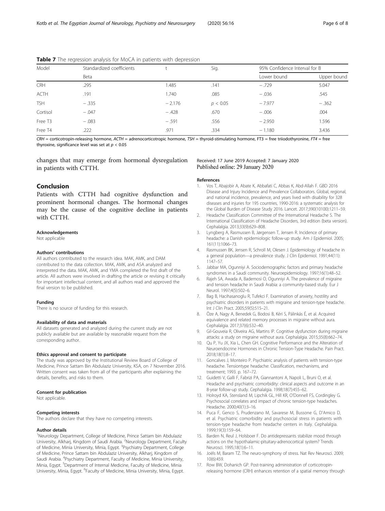| Model               | Standardized coefficients |          | Sig.     | 95% Confidence Interval for B |             |  |
|---------------------|---------------------------|----------|----------|-------------------------------|-------------|--|
|                     | Beta                      |          |          | Lower bound                   | Upper bound |  |
| <b>CRH</b>          | .295                      | 1.485    | .141     | $-.729$                       | 5.047       |  |
| ACTH                | .191                      | 1.740    | .085     | $-.036$                       | .545        |  |
| <b>TSH</b>          | $-.335$                   | $-2.176$ | p < 0.05 | $-7.977$                      | $-.362$     |  |
| Cortisol            | $-.047$                   | $-.428$  | .670     | $-.006$                       | .004        |  |
| Free T <sub>3</sub> | $-.083$                   | $-.591$  | .556     | $-2.950$                      | 1.596       |  |
| Free T4             | .222                      | .971     | .334     | $-1.180$                      | 3.436       |  |

<span id="page-5-0"></span>**Table 7** The regression analysis for MoCA in patients with depression

 $CRH =$  corticotropin-releasing hormone,  $ACTH =$  adrenocorticotropic hormone,  $TSH =$  thyroid-stimulating hormone,  $FT3 =$  free triiodothyronine,  $FT4 =$  free thyroxine, significance level was set at  $p < 0.05$ 

changes that may emerge from hormonal dysregulation in patients with CTTH.

## Received: 17 June 2019 Accepted: 7 January 2020 Published online: 29 January 2020

## References

- 1. Vos T, Abajobir A, Abate K, Abbafati C, Abbas K, Abd-Allah F. GBD 2016 Disease and Injury Incidence and Prevalence Collaborators. Global, regional, and national incidence, prevalence, and years lived with disability for 328 diseases and injuries for 195 countries, 1990-2016: a systematic analysis for the Global Burden of Disease Study 2016. Lancet. 2017;390(10100):1211–59.
- 2. Headache Classification Committee of the International Headache S. The International Classification of Headache Disorders, 3rd edition (beta version). Cephalalgia. 2013;33(9):629–808.
- 3. Lyngberg A, Rasmussen B, Jørgensen T, Jensen R. Incidence of primary headache: a Danish epidemiologic follow-up study. Am J Epidemiol. 2005; 161(11):1066–73.
- 4. Rasmussen BK, Jensen R, Schroll M, Olesen J. Epidemiology of headache in a general population—a prevalence study. J Clin Epidemiol. 1991;44(11): 1147–57.
- 5. Jabbar MA, Ogunniyi A. Sociodemographic factors and primary headache syndromes in a Saudi community. Neuroepidemiology. 1997;16(1):48–52.
- 6. Rajeh SA, Awada A, Bademosi O, Ogunniyi A. The prevalence of migraine and tension headache in Saudi Arabia: a community-based study. Eur J Neurol. 1997;4(5):502–6.
- 7. Bag B, Hacihasanoglu R, Tufekci F. Examination of anxiety, hostility and psychiatric disorders in patients with migraine and tension-type headache. Int J Clin Pract. 2005;59(5):515–21.
- 8. Öze A, Nagy A, Benedek G, Bodosi B, Kéri S, Pálinkás É, et al. Acquired equivalence and related memory processes in migraine without aura. Cephalalgia. 2017;37(6):532–40.
- 9. Gil-Gouveia R, Oliveira AG, Martins IP. Cognitive dysfunction during migraine attacks: a study on migraine without aura. Cephalalgia. 2015;35(8):662–74.
- 10. Qu P, Yu JX, Xia L, Chen GH. Cognitive Performance and the Alteration of Neuroendocrine Hormones in Chronic Tension-Type Headache. Pain Pract. 2018;18(1):8–17.
- 11. Goncalves J, Monteiro P. Psychiatric analysis of patients with tension-type headache. Tensiontype headache: Classification, mechanisms, and treatment; 1993. p. 167–72.
- 12. Guidetti V, Galli F, Fabrizi PA, Giannantoni A, Napoli L, Bruni O, et al. Headache and psychiatric comorbidity: clinical aspects and outcome in an 8-year follow-up study. Cephalalgia. 1998;18(7):455–62.
- 13. Holroyd KA, Stensland M, Lipchik GL, Hill KR, O'Donnell FS, Cordingley G. Psychosocial correlates and impact of chronic tension-type headaches. Headache. 2000;40(1):3–16.
- 14. Puca F, Genco S, Prudenzano M, Savarese M, Bussone G, D'Amico D, et al. Psychiatric comorbidity and psychosocial stress in patients with tension-type headache from headache centers in Italy. Cephalalgia. 1999;19(3):159–64.
- 15. Barden N, Reul J, Holsboer F. Do antidepressants stabilize mood through actions on the hypothalamic-pituitary-adrenocortical system? Trends Neurosci. 1995;18(1):6–11.
- 16. Joëls M, Baram TZ. The neuro-symphony of stress. Nat Rev Neurosci. 2009; 10(6):459.
- 17. Row BW, Dohanich GP. Post-training administration of corticotropinreleasing hormone (CRH) enhances retention of a spatial memory through

# Conclusion

Patients with CTTH had cognitive dysfunction and prominent hormonal changes. The hormonal changes may be the cause of the cognitive decline in patients with CTTH.

## Acknowledgements

Not applicable

#### Authors' contributions

All authors contributed to the research idea. MAK, AMK, and DAM contributed to the data collection. MAK, AMK, and ASA analyzed and interpreted the data. MAK, AMK, and YMA completed the first draft of the article. All authors were involved in drafting the article or revising it critically for important intellectual content, and all authors read and approved the final version to be published.

#### Funding

There is no source of funding for this research.

#### Availability of data and materials

All datasets generated and analyzed during the current study are not publicly available but are available by reasonable request from the corresponding author.

#### Ethics approval and consent to participate

The study was approved by the Institutional Review Board of College of Medicine, Prince Sattam Bin Abdulaziz University, KSA, on 7 November 2016. Written consent was taken from all of the participants after explaining the details, benefits, and risks to them.

#### Consent for publication

Not applicable.

#### Competing interests

The authors declare that they have no competing interests.

#### Author details

<sup>1</sup>Neurology Department, College of Medicine, Prince Sattam bin Abdulaziz University, Alkharj, Kingdom of Saudi Arabia. <sup>2</sup>Neurology Department, Faculty of Medicine, Minia University, Minia, Egypt. <sup>3</sup>Psychiatry Department, College of Medicine, Prince Sattam bin Abdulaziz University, Alkharj, Kingdom of Saudi Arabia. <sup>4</sup>Psychiatry Department, Faculty of Medicine, Minia University, Minia, Egypt. <sup>5</sup>Department of Internal Medicine, Faculty of Medicine, Minia University, Minia, Egypt. <sup>6</sup>Faculty of Medicine, Minia University, Minia, Egypt.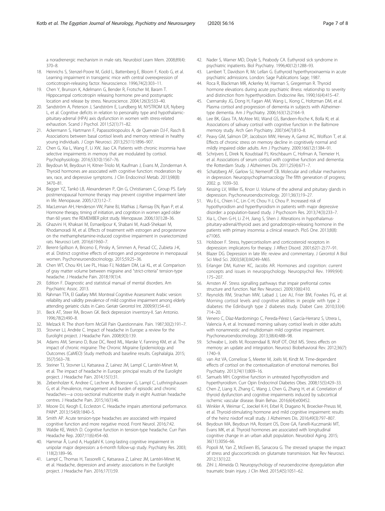<span id="page-6-0"></span>a noradrenergic mechanism in male rats. Neurobiol Learn Mem. 2008;89(4): 370–8.

- 18. Heinrichs S, Stenzel-Poore M, Gold L, Battenberg E, Bloom F, Koob G, et al. Learning impairment in transgenic mice with central overexpression of corticotropin-releasing factor. Neuroscience. 1996;74(2):303–11.
- 19. Chen Y, Brunson K, Adelmann G, Bender R, Frotscher M, Baram T. Hippocampal corticotropin releasing hormone: pre-and postsynaptic location and release by stress. Neuroscience. 2004;126(3):533–40.
- 20. Sandström A, Peterson J, Sandström E, Lundberg M, NYSTROM ILR, Nyberg L, et al. Cognitive deficits in relation to personality type and hypothalamicpituitary-adrenal (HPA) axis dysfunction in women with stress-related exhaustion. Scand J Psychol. 2011;52(1):71–82.
- 21. Ackermann S, Hartmann F, Papassotiropoulos A, de Quervain DJ-F, Rasch B. Associations between basal cortisol levels and memory retrieval in healthy young individuals. J Cogn Neurosci. 2013;25(11):1896–907.
- 22. Chen G, Xia L, Wang F, Li XW, Jiao CA. Patients with chronic insomnia have selective impairments in memory that are modulated by cortisol. Psychophysiology. 2016;53(10):1567–76.
- 23. Beydoun M, Beydoun H, Kitner-Triolo M, Kaufman J, Evans M, Zonderman A. Thyroid hormones are associated with cognitive function: moderation by sex, race, and depressive symptoms. J Clin Endocrinol Metab. 2013;98(8): 3470–81.
- 24. Bagger YZ, Tankó LB, Alexandersen P, Qin G, Christiansen C, Group PS. Early postmenopausal hormone therapy may prevent cognitive impairment later in life. Menopause. 2005;12(1):12–7.
- 25. MacLennan AH, Henderson VW, Paine BJ, Mathias J, Ramsay EN, Ryan P, et al. Hormone therapy, timing of initiation, and cognition in women aged older than 60 years: the REMEMBER pilot study. Menopause. 2006;13(1):28–36.
- 26. Ghazvini H, Khaksari M, Esmaeilpour K, Shabani M, Asadi-Shekaari M, Khodamoradi M, et al. Effects of treatment with estrogen and progesterone on the methamphetamine-induced cognitive impairment in ovariectomized rats. Neurosci Lett. 2016;619:60–7.
- 27. Berent-Spillson A, Briceno E, Pinsky A, Simmen A, Persad CC, Zubieta J-K, et al. Distinct cognitive effects of estrogen and progesterone in menopausal women. Psychoneuroendocrinology. 2015;59:25–36.
- 28. Chen WT, Chou KH, Lee PL, Hsiao FJ, Niddam DM, Lai KL, et al. Comparison of gray matter volume between migraine and "strict-criteria" tension-type headache. J Headache Pain. 2018;19(1):4.
- 29. Edition F. Diagnostic and statistical manual of mental disorders. Am Psychiatric Assoc. 2013.
- 30. Rahman TTA, El Gaafary MM. Montreal Cognitive Assessment Arabic version: reliability and validity prevalence of mild cognitive impairment among elderly attending geriatric clubs in Cairo. Geriatr Gerontol Int. 2009;9(1):54–61.
- 31. Beck AT, Steer RA, Brown GK. Beck depression inventory-II. San Antonio. 1996;78(2):490–8.
- 32. Melzack R. The short-form McGill Pain Questionnaire. Pain. 1987;30(2):191–7.
- 33. Stovner LJ, Andrée C. Impact of headache in Europe: a review for the Eurolight project. J Headache Pain. 2008;9(3):139.
- 34. Adams AM, Serrano D, Buse DC, Reed ML, Marske V, Fanning KM, et al. The impact of chronic migraine: The Chronic Migraine Epidemiology and Outcomes (CaMEO) Study methods and baseline results. Cephalalgia. 2015; 35(7):563–78.
- 35. Steiner TJ, Stovner LJ, Katsarava Z, Lainez JM, Lampl C, Lantéri-Minet M, et al. The impact of headache in Europe: principal results of the Eurolight project. J Headache Pain. 2014;15(1):31.
- 36. Zebenholzer K, Andree C, Lechner A, Broessner G, Lampl C, Luthringshausen G, et al. Prevalence, management and burden of episodic and chronic headaches—a cross-sectional multicentre study in eight Austrian headache centres. J Headache Pain. 2015;16(1):46.
- 37. Moore DJ, Keogh E, Eccleston C. Headache impairs attentional performance. PAIN®. 2013;154(9):1840–5.
- 38. Smith AP. Acute tension-type headaches are associated with impaired cognitive function and more negative mood. Front Neurol. 2016;7:42.
- 39. Waldie KE, Welch D. Cognitive function in tension-type headache. Curr Pain Headache Rep. 2007;11(6):454–60.
- 40. Hammar Å, Lund A, Hugdahl K. Long-lasting cognitive impairment in unipolar major depression: a 6-month follow-up study. Psychiatry Res. 2003; 118(2):189–96.
- 41. Lampl C, Thomas H, Tassorelli C, Katsarava Z, Laínez JM, Lantéri-Minet M, et al. Headache, depression and anxiety: associations in the Eurolight project. J Headache Pain. 2016;17(1):59.
- 42. Nader S, Warner MD, Doyle S, Peabody CA. Euthyroid sick syndrome in psychiatric inpatients. Biol Psychiatry. 1996;40(12):1288–93.
- 43. Lambert T, Davidson R, Mc Lellan G. Euthyroid hyperthyroxinaemia in acute psychiatric admissions. London: Sage Publications Sage; 1987.
- 44. Roca R, Blackman MR, Ackerley M, Harman S, Gregerman R. Thyroid hormone elevations during acute psychiatric illness: relationship to severity and distinction from hyperthyroidism. Endocrine Res. 1990;16(4):415–47.
- 45. Csernansky JG, Dong H, Fagan AM, Wang L, Xiong C, Holtzman DM, et al. Plasma cortisol and progression of dementia in subjects with Alzheimertype dementia. Am J Psychiatry. 2006;163(12):2164–9.
- 46. Lee BK, Glass TA, McAtee MJ, Wand GS, Bandeen-Roche K, Bolla KI, et al. Associations of salivary cortisol with cognitive function in the Baltimore memory study. Arch Gen Psychiatry. 2007;64(7):810–8.
- 47. Peavy GM, Salmon DP, Jacobson MW, Hervey A, Gamst AC, Wolfson T, et al. Effects of chronic stress on memory decline in cognitively normal and mildly impaired older adults. Am J Psychiatry. 2009;166(12):1384–91.
- 48. Schrijvers E, Direk N, Koudstaal PJ, Kirschbaum C, Hofman A, Tiemeier H, et al. Associations of serum cortisol with cognitive function and dementia: the Rotterdam Study. J Alzheimers Dis. 2011;25(4):671–7.
- 49. Schatzberg AF, Garlow SJ, Nemeroff CB. Molecular and cellular mechanisms in depression. Neuropsychopharmacology The fifth generation of progress; 2002. p. 1039–50.
- 50. Kessing LV, Willer IS, Knorr U. Volume of the adrenal and pituitary glands in depression. Psychoneuroendocrinology. 2011;36(1):19–27.
- 51. Wu E-L, Chien I-C, Lin C-H, Chou Y-J, Chou P. Increased risk of hypothyroidism and hyperthyroidism in patients with major depressive disorder: a population-based study. J Psychosom Res. 2013;74(3):233–7.
- 52. Xia L, Chen G-H, Li Z-H, Jiang S, Shen J. Alterations in hypothalamuspituitary-adrenal/thyroid axes and gonadotropin-releasing hormone in the patients with primary insomnia: a clinical research. PloS One. 2013;8(8): e71065.
- 53. Holsboer F. Stress, hypercortisolism and corticosteroid receptors in depression: implicatons for therapy. J Affect Disord. 2001;62(1-2):77–91.
- Blazer DG. Depression in late life: review and commentary. J Gerontol A Biol Sci Med Sci. 2003;58(3):M249–M65.
- 55. Erlanger DM, Kutner KC, Jacobs AR. Hormones and cognition: current concepts and issues in neuropsychology. Neuropsychol Rev. 1999;9(4): 175–207.
- 56. Arnsten AF. Stress signalling pathways that impair prefrontal cortex structure and function. Nat Rev Neurosci. 2009;10(6):410.
- 57. Reynolds RM, Strachan MW, Labad J, Lee AJ, Frier BM, Fowkes FG, et al. Morning cortisol levels and cognitive abilities in people with type 2 diabetes: the Edinburgh type 2 diabetes study. Diabet Care. 2010;33(4): 714–20.
- 58. Venero C, Díaz-Mardomingo C, Pereda-Pérez I, García-Herranz S, Utrera L, Valencia A, et al. Increased morning salivary cortisol levels in older adults with nonamnestic and multidomain mild cognitive impairment. Psychoneuroendocrinology. 2013;38(4):488–98.
- 59. Schwabe L, Joëls M, Roozendaal B, Wolf OT, Oitzl MS. Stress effects on memory: an update and integration. Neurosci Biobehavioral Rev. 2012;36(7): 1740–9.
- 60. van Ast VA, Cornelisse S, Meeter M, Joëls M, Kindt M. Time-dependent effects of cortisol on the contextualization of emotional memories. Biol Psychiatry. 2013;74(11):809–16.
- 61. Samuels MH. Cognitive function in untreated hypothyroidism and hyperthyroidism. Curr Opin Endocrinol Diabetes Obes. 2008;15(5):429–33.
- 62. Chen Z, Liang X, Zhang C, Wang J, Chen G, Zhang H, et al. Correlation of thyroid dysfunction and cognitive impairments induced by subcortical ischemic vascular disease. Brain Behav. 2016;6(4):e00452.
- 63. Winkler A, Weimar C, Joeckel K-H, Erbel R, Dragano N, Broecker-Preuss M, et al. Thyroid-stimulating hormone and mild cognitive impairment: results of the heinz nixdorf recall study. J Alzheimers Dis. 2016;49(3):797–807.
- 64. Beydoun MA, Beydoun HA, Rostant OS, Dore GA, Fanelli-Kuczmarski MT, Evans MK, et al. Thyroid hormones are associated with longitudinal cognitive change in an urban adult population. Neurobiol Aging. 2015; 36(11):3056–66.
- 65. Popoli M, Yan Z, McEwen BS, Sanacora G. The stressed synapse: the impact of stress and glucocorticoids on glutamate transmission. Nat Rev Neurosci. 2012;13(1):22.
- 66. Zihl J, Almeida O. Neuropsychology of neuroendocrine dysregulation after traumatic brain injury. J Clin Med. 2015;4(5):1051–62.